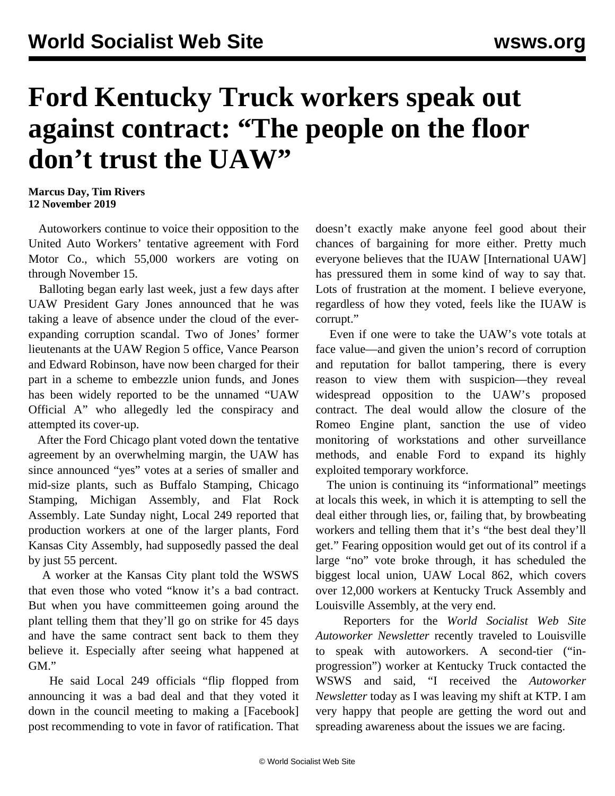## **Ford Kentucky Truck workers speak out against contract: "The people on the floor don't trust the UAW"**

**Marcus Day, Tim Rivers 12 November 2019**

 Autoworkers continue to voice their opposition to the United Auto Workers' tentative agreement with Ford Motor Co., which 55,000 workers are voting on through November 15.

 Balloting began early last week, just a few days after UAW President Gary Jones announced that he was taking a leave of absence under the cloud of the everexpanding corruption scandal. Two of Jones' former lieutenants at the UAW Region 5 office, Vance Pearson and Edward Robinson, have now been charged for their part in a scheme to embezzle union funds, and Jones has been widely reported to be the unnamed "UAW Official A" who allegedly led the conspiracy and attempted its cover-up.

 After the Ford Chicago plant voted down the tentative agreement by an overwhelming margin, the UAW has since announced "yes" votes at a series of smaller and mid-size plants, such as Buffalo Stamping, Chicago Stamping, Michigan Assembly, and Flat Rock Assembly. Late Sunday night, Local 249 reported that production workers at one of the larger plants, Ford Kansas City Assembly, had supposedly passed the deal by just 55 percent.

 A worker at the Kansas City plant told the WSWS that even those who voted "know it's a bad contract. But when you have committeemen going around the plant telling them that they'll go on strike for 45 days and have the same contract sent back to them they believe it. Especially after seeing what happened at GM."

 He said Local 249 officials "flip flopped from announcing it was a bad deal and that they voted it down in the council meeting to making a [Facebook] post recommending to vote in favor of ratification. That doesn't exactly make anyone feel good about their chances of bargaining for more either. Pretty much everyone believes that the IUAW [International UAW] has pressured them in some kind of way to say that. Lots of frustration at the moment. I believe everyone, regardless of how they voted, feels like the IUAW is corrupt."

 Even if one were to take the UAW's vote totals at face value—and given the union's record of corruption and reputation for [ballot tampering,](/en/articles/2017/05/09/uaw-m09.html) there is every reason to view them with suspicion—they reveal widespread opposition to the UAW's proposed contract. The deal would allow the closure of the Romeo Engine plant, sanction the use of video monitoring of workstations and other surveillance methods, and enable Ford to expand its highly exploited temporary workforce.

 The union is continuing its "informational" meetings at locals this week, in which it is attempting to sell the deal either through lies, or, failing that, by browbeating workers and telling them that it's "the best deal they'll get." Fearing opposition would get out of its control if a large "no" vote broke through, it has scheduled the biggest local union, UAW Local 862, which covers over 12,000 workers at Kentucky Truck Assembly and Louisville Assembly, at the very end.

 Reporters for the *World Socialist Web Site Autoworker Newsletter* recently traveled to Louisville to speak with autoworkers. A second-tier ("inprogression") worker at Kentucky Truck contacted the WSWS and said, "I received the *Autoworker Newsletter* today as I was leaving my shift at KTP. I am very happy that people are getting the word out and spreading awareness about the issues we are facing.